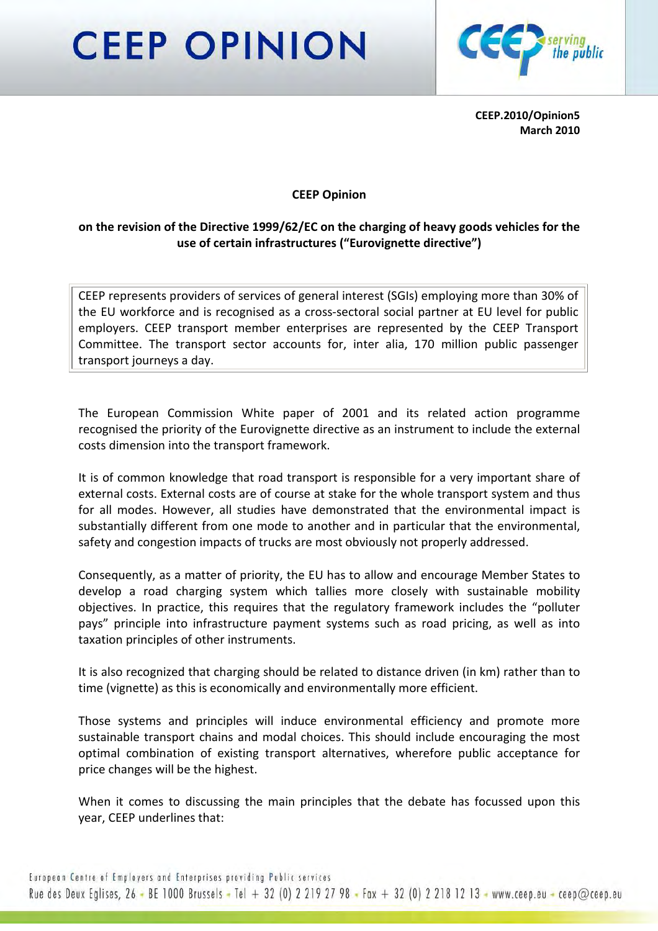## **CEEP OPINION**



CEEP.2010/Opinion5 March 2010

## CEEP Opinion

## on the revision of the Directive 1999/62/EC on the charging of heavy goods vehicles for the use of certain infrastructures ("Eurovignette directive")

CEEP represents providers of services of general interest (SGIs) employing more than 30% of the EU workforce and is recognised as a cross-sectoral social partner at EU level for public employers. CEEP transport member enterprises are represented by the CEEP Transport Committee. The transport sector accounts for, inter alia, 170 million public passenger transport journeys a day.

The European Commission White paper of 2001 and its related action programme recognised the priority of the Eurovignette directive as an instrument to include the external costs dimension into the transport framework.

It is of common knowledge that road transport is responsible for a very important share of external costs. External costs are of course at stake for the whole transport system and thus for all modes. However, all studies have demonstrated that the environmental impact is substantially different from one mode to another and in particular that the environmental, safety and congestion impacts of trucks are most obviously not properly addressed.

Consequently, as a matter of priority, the EU has to allow and encourage Member States to develop a road charging system which tallies more closely with sustainable mobility objectives. In practice, this requires that the regulatory framework includes the "polluter pays" principle into infrastructure payment systems such as road pricing, as well as into taxation principles of other instruments.

It is also recognized that charging should be related to distance driven (in km) rather than to time (vignette) as this is economically and environmentally more efficient.

Those systems and principles will induce environmental efficiency and promote more sustainable transport chains and modal choices. This should include encouraging the most optimal combination of existing transport alternatives, wherefore public acceptance for price changes will be the highest.

When it comes to discussing the main principles that the debate has focussed upon this year, CEEP underlines that: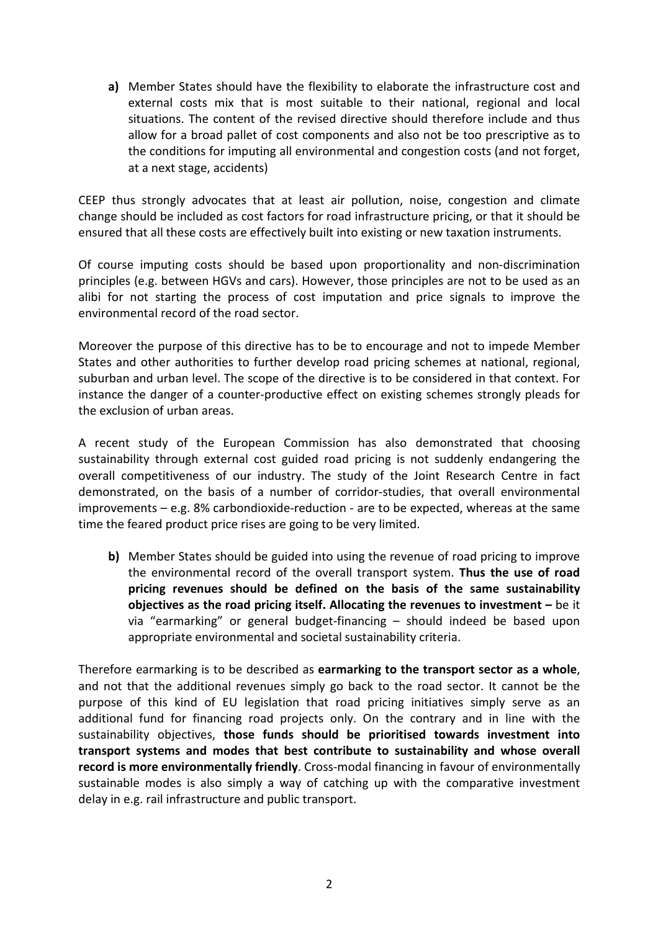a) Member States should have the flexibility to elaborate the infrastructure cost and external costs mix that is most suitable to their national, regional and local situations. The content of the revised directive should therefore include and thus allow for a broad pallet of cost components and also not be too prescriptive as to the conditions for imputing all environmental and congestion costs (and not forget, at a next stage, accidents)

CEEP thus strongly advocates that at least air pollution, noise, congestion and climate change should be included as cost factors for road infrastructure pricing, or that it should be ensured that all these costs are effectively built into existing or new taxation instruments.

Of course imputing costs should be based upon proportionality and non-discrimination principles (e.g. between HGVs and cars). However, those principles are not to be used as an alibi for not starting the process of cost imputation and price signals to improve the environmental record of the road sector.

Moreover the purpose of this directive has to be to encourage and not to impede Member States and other authorities to further develop road pricing schemes at national, regional, suburban and urban level. The scope of the directive is to be considered in that context. For instance the danger of a counter-productive effect on existing schemes strongly pleads for the exclusion of urban areas.

A recent study of the European Commission has also demonstrated that choosing sustainability through external cost guided road pricing is not suddenly endangering the overall competitiveness of our industry. The study of the Joint Research Centre in fact demonstrated, on the basis of a number of corridor-studies, that overall environmental improvements – e.g. 8% carbondioxide-reduction - are to be expected, whereas at the same time the feared product price rises are going to be very limited.

b) Member States should be guided into using the revenue of road pricing to improve the environmental record of the overall transport system. Thus the use of road pricing revenues should be defined on the basis of the same sustainability objectives as the road pricing itself. Allocating the revenues to investment  $-$  be it via "earmarking" or general budget-financing – should indeed be based upon appropriate environmental and societal sustainability criteria.

Therefore earmarking is to be described as earmarking to the transport sector as a whole, and not that the additional revenues simply go back to the road sector. It cannot be the purpose of this kind of EU legislation that road pricing initiatives simply serve as an additional fund for financing road projects only. On the contrary and in line with the sustainability objectives, those funds should be prioritised towards investment into transport systems and modes that best contribute to sustainability and whose overall record is more environmentally friendly. Cross-modal financing in favour of environmentally sustainable modes is also simply a way of catching up with the comparative investment delay in e.g. rail infrastructure and public transport.